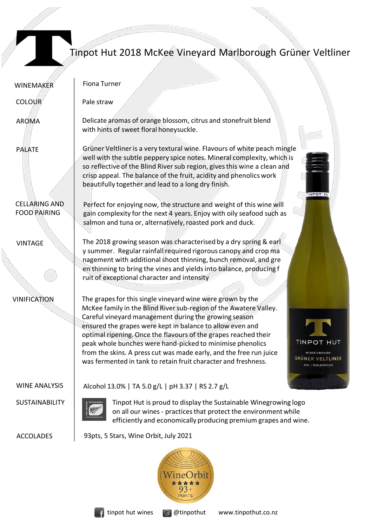

## Tinpot Hut 2018 McKee Vineyard Marlborough Grüner Veltliner

| <b>WINEMAKER</b>                            | Fiona Turner                                                                                                                                                                                                                                                                                                                                                                                                                                                                                                                                                                                                          |
|---------------------------------------------|-----------------------------------------------------------------------------------------------------------------------------------------------------------------------------------------------------------------------------------------------------------------------------------------------------------------------------------------------------------------------------------------------------------------------------------------------------------------------------------------------------------------------------------------------------------------------------------------------------------------------|
| <b>COLOUR</b>                               | Pale straw                                                                                                                                                                                                                                                                                                                                                                                                                                                                                                                                                                                                            |
| AROMA                                       | Delicate aromas of orange blossom, citrus and stonefruit blend<br>with hints of sweet floral honeysuckle.                                                                                                                                                                                                                                                                                                                                                                                                                                                                                                             |
| <b>PALATE</b>                               | Grüner Veltliner is a very textural wine. Flavours of white peach mingle<br>well with the subtle peppery spice notes. Mineral complexity, which is<br>so reflective of the Blind River sub region, gives this wine a clean and<br>crisp appeal. The balance of the fruit, acidity and phenolics work<br>beautifully together and lead to a long dry finish.<br>INPOT H                                                                                                                                                                                                                                                |
| <b>CELLARING AND</b><br><b>FOOD PAIRING</b> | Perfect for enjoying now, the structure and weight of this wine will<br>gain complexity for the next 4 years. Enjoy with oily seafood such as<br>salmon and tuna or, alternatively, roasted pork and duck.                                                                                                                                                                                                                                                                                                                                                                                                            |
| <b>VINTAGE</b>                              | The 2018 growing season was characterised by a dry spring & earl<br>y summer. Regular rainfall required rigorous canopy and crop ma<br>nagement with additional shoot thinning, bunch removal, and gre<br>en thinning to bring the vines and yields into balance, producing f<br>ruit of exceptional character and intensity                                                                                                                                                                                                                                                                                          |
| <b>VINIFICATION</b>                         | The grapes for this single vineyard wine were grown by the<br>McKee family in the Blind River sub-region of the Awatere Valley.<br>Careful vineyard management during the growing season<br>ensured the grapes were kept in balance to allow even and<br>optimal ripening. Once the flavours of the grapes reached their<br>TINPOT HUT<br>peak whole bunches were hand-picked to minimise phenolics<br>from the skins. A press cut was made early, and the free run juice<br><b>MCKEE VINEYARD</b><br><b>GRÜNER VELTLINER</b><br>was fermented in tank to retain fruit character and freshness.<br>2018   MARLBOROUGH |
| <b>WINE ANALYSIS</b>                        | Alcohol 13.0%   TA 5.0 g/L   pH 3.37   RS 2.7 g/L                                                                                                                                                                                                                                                                                                                                                                                                                                                                                                                                                                     |
| <b>SUSTAINABILITY</b>                       | Tinpot Hut is proud to display the Sustainable Winegrowing logo<br>on all our wines - practices that protect the environment while<br>efficiently and economically producing premium grapes and wine.                                                                                                                                                                                                                                                                                                                                                                                                                 |
| <b>ACCOLADES</b>                            | 93pts, 5 Stars, Wine Orbit, July 2021                                                                                                                                                                                                                                                                                                                                                                                                                                                                                                                                                                                 |
|                                             |                                                                                                                                                                                                                                                                                                                                                                                                                                                                                                                                                                                                                       |



me \*\*\*\*\* POINTS

urbit